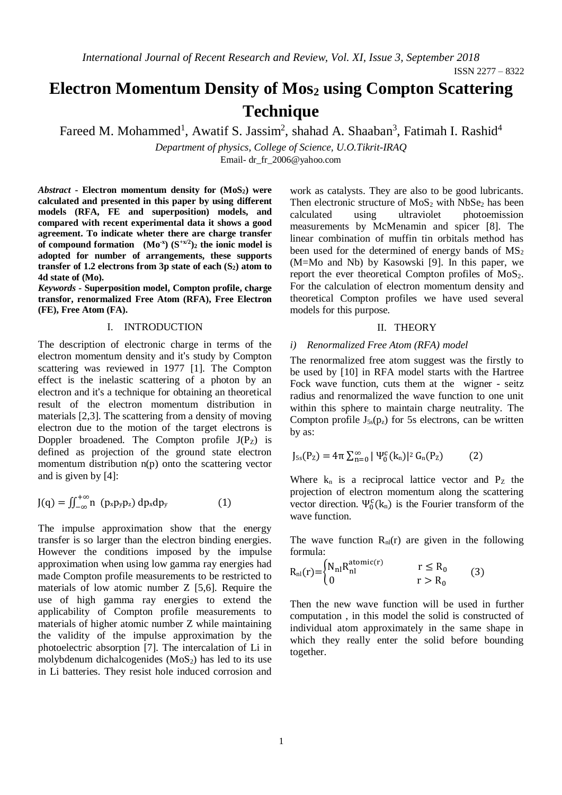# **Electron Momentum Density of Mos<sup>2</sup> using Compton Scattering Technique**

Fareed M. Mohammed<sup>1</sup>, Awatif S. Jassim<sup>2</sup>, shahad A. Shaaban<sup>3</sup>, Fatimah I. Rashid<sup>4</sup>

*Department of physics, College of Science, U.O.Tikrit-IRAQ*

Email- [dr\\_fr\\_2006@yahoo.com](mailto:dr_fr_2006@yahoo.com)

*Abstract* **- Electron momentum density for (MoS2) were calculated and presented in this paper by using different models (RFA, FE and superposition) models, and compared with recent experimental data it shows a good agreement. To indicate wheter there are charge transfer of compound formation**  $(Mo^x) (S^{+x/2})_2$  the ionic model is **adopted for number of arrangements, these supports transfer of 1.2 electrons from 3p state of each (S2) atom to 4d state of (Mo).**

*Keywords* **- Superposition model, Compton profile, charge transfor, renormalized Free Atom (RFA), Free Electron (FE), Free Atom (FA).**

## I. INTRODUCTION

The description of electronic charge in terms of the electron momentum density and it's study by Compton scattering was reviewed in 1977 [1]. The Compton effect is the inelastic scattering of a photon by an electron and it's a technique for obtaining an theoretical result of the electron momentum distribution in materials [2,3]. The scattering from a density of moving electron due to the motion of the target electrons is Doppler broadened. The Compton profile  $J(P_z)$  is defined as projection of the ground state electron momentum distribution n(p) onto the scattering vector and is given by [4]:

$$
J(q) = \iint_{-\infty}^{+\infty} n (p_x p_y p_z) dp_x dp_y
$$
 (1)

The impulse approximation show that the energy transfer is so larger than the electron binding energies. However the conditions imposed by the impulse approximation when using low gamma ray energies had made Compton profile measurements to be restricted to materials of low atomic number Z [5,6]. Require the use of high gamma ray energies to extend the applicability of Compton profile measurements to materials of higher atomic number Z while maintaining the validity of the impulse approximation by the photoelectric absorption [7]. The intercalation of Li in molybdenum dichalcogenides  $(MoS<sub>2</sub>)$  has led to its use in Li batteries. They resist hole induced corrosion and

work as catalysts. They are also to be good lubricants. Then electronic structure of  $MoS<sub>2</sub>$  with NbSe<sub>2</sub> has been calculated using ultraviolet photoemission measurements by McMenamin and spicer [8]. The linear combination of muffin tin orbitals method has been used for the determined of energy bands of  $MS<sub>2</sub>$ (M=Mo and Nb) by Kasowski [9]. In this paper, we report the ever theoretical Compton profiles of  $MoS<sub>2</sub>$ . For the calculation of electron momentum density and theoretical Compton profiles we have used several models for this purpose.

#### II. THEORY

#### *i) Renormalized Free Atom (RFA) model*

The renormalized free atom suggest was the firstly to be used by [10] in RFA model starts with the Hartree Fock wave function, cuts them at the wigner - seitz radius and renormalized the wave function to one unit within this sphere to maintain charge neutrality. The Compton profile  $J_{5s}(p_z)$  for 5s electrons, can be written by as:

$$
J_{5s}(P_{Z}) = 4\pi \sum_{n=0}^{\infty} |\Psi_{0}^{c}(k_{n})|^{2} G_{n}(P_{Z})
$$
 (2)

Where  $k_n$  is a reciprocal lattice vector and  $P_z$  the projection of electron momentum along the scattering vector direction.  $\Psi_0^c(k_n)$  is the Fourier transform of the wave function.

The wave function  $R_{nl}(r)$  are given in the following formula:

$$
R_{nl}(r) = \begin{cases} N_{nl}R_{nl}^{atomic(r)} & r \le R_0 \\ 0 & r > R_0 \end{cases}
$$
 (3)

Then the new wave function will be used in further computation , in this model the solid is constructed of individual atom approximately in the same shape in which they really enter the solid before bounding together.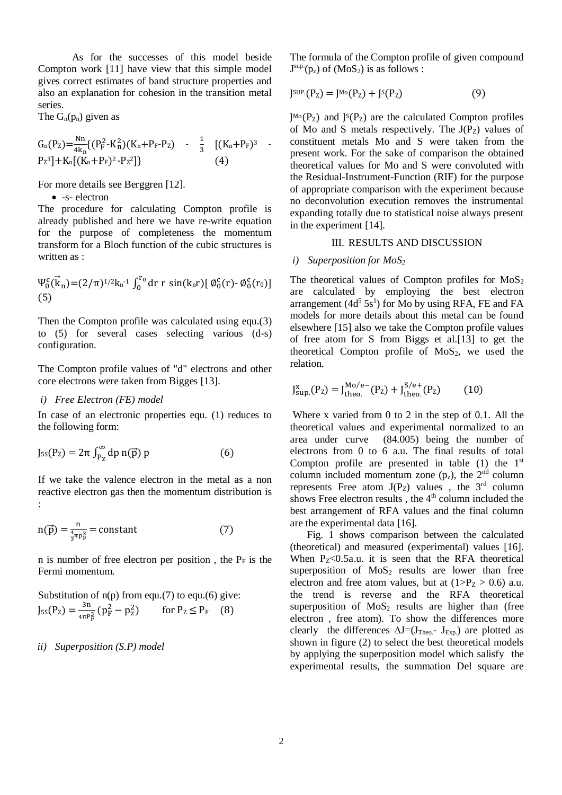As for the successes of this model beside Compton work [11] have view that this simple model gives correct estimates of band structure properties and also an explanation for cohesion in the transition metal series.

The  $G_n(p_n)$  given as

$$
G_n(P_Z) = \frac{Nn}{4k_n} \{ (P_F^2 - K_n^2) (K_n + P_F - P_Z) - \frac{1}{3} \left[ (K_n + P_F)^3 - P_Z^3 \right] + K_n \left[ (K_n + P_F)^2 - P_Z^2 \right] \} \qquad (4)
$$

For more details see Berggren [12].

• -s- electron

The procedure for calculating Compton profile is already published and here we have re-write equation for the purpose of completeness the momentum transform for a Bloch function of the cubic structures is written as  $\cdot$ 

$$
\Psi_0^c(\vec{k}_n) = (2/\pi)^{1/2} k_n^{-1} \int_0^{r_0} dr \ r \sin(k_n r) [\phi_0^c(r) - \phi_0^c(r_0)]
$$
\n(5)

Then the Compton profile was calculated using equ.(3) to (5) for several cases selecting various (d-s) configuration.

The Compton profile values of "d" electrons and other core electrons were taken from Bigges [13].

## *i) Free Electron (FE) model*

In case of an electronic properties equ. (1) reduces to the following form:

$$
J_{5S}(P_z) = 2\pi \int_{P_Z}^{\infty} dp \, n(\vec{p}) \, p \tag{6}
$$

If we take the valence electron in the metal as a non reactive electron gas then the momentum distribution is :

$$
n(\vec{p}) = \frac{n}{\frac{4}{3}\pi p_F^3} = \text{constant} \tag{7}
$$

n is number of free electron per position, the  $P_F$  is the Fermi momentum.

Substitution of n(p) from equ.(7) to equ.(6) give:  
\n
$$
J_{SS}(P_Z) = \frac{3n}{4\pi P_F^3} (p_F^2 - p_Z^2)
$$
 for  $P_Z \le P_F$  (8)

### *ii) Superposition (S.P) model*

The formula of the Compton profile of given compound  $J<sup>sup</sup>(p<sub>z</sub>)$  of  $(MoS<sub>2</sub>)$  is as follows :

$$
J^{SUP.}(P_Z) = J^{Mo}(P_Z) + J^S(P_Z)
$$
 (9)

 $J^{Mo}(P_z)$  and  $J^S(P_z)$  are the calculated Compton profiles of Mo and S metals respectively. The  $J(P_Z)$  values of constituent metals Mo and S were taken from the present work. For the sake of comparison the obtained theoretical values for Mo and S were convoluted with the Residual-Instrument-Function (RIF) for the purpose of appropriate comparison with the experiment because no deconvolution execution removes the instrumental expanding totally due to statistical noise always present in the experiment [14].

## III. RESULTS AND DISCUSSION

#### *i) Superposition for MoS<sup>2</sup>*

The theoretical values of Compton profiles for  $MoS<sub>2</sub>$ are calculated by employing the best electron arrangement  $(4d^5 5s^1)$  for Mo by using RFA, FE and FA models for more details about this metal can be found elsewhere [15] also we take the Compton profile values of free atom for S from Biggs et al.[13] to get the theoretical Compton profile of  $MoS<sub>2</sub>$ , we used the relation.

$$
J_{\text{sup.}}^{x}(P_{Z}) = J_{\text{theo.}}^{\text{Mo/e}-}(P_{Z}) + J_{\text{theo.}}^{S/e+}(P_{Z}) \tag{10}
$$

Where x varied from 0 to 2 in the step of 0.1. All the theoretical values and experimental normalized to an area under curve (84.005) being the number of electrons from 0 to 6 a.u. The final results of total Compton profile are presented in table  $(1)$  the 1<sup>st</sup> column included momentum zone  $(p_z)$ , the  $2<sup>nd</sup>$  column represents Free atom  $J(P_Z)$  values, the 3<sup>rd</sup> column shows Free electron results, the  $4<sup>th</sup>$  column included the best arrangement of RFA values and the final column are the experimental data [16].

Fig. 1 shows comparison between the calculated (theoretical) and measured (experimental) values [16]. When  $P_{z}$ <0.5a.u. it is seen that the RFA theoretical superposition of  $MoS<sub>2</sub>$  results are lower than free electron and free atom values, but at  $(1>P_Z > 0.6)$  a.u. the trend is reverse and the RFA theoretical superposition of  $MoS<sub>2</sub>$  results are higher than (free electron , free atom). To show the differences more clearly the differences  $\Delta J = (J_{Theo} - J_{Exp})$  are plotted as shown in figure (2) to select the best theoretical models by applying the superposition model which salisfy the experimental results, the summation Del square are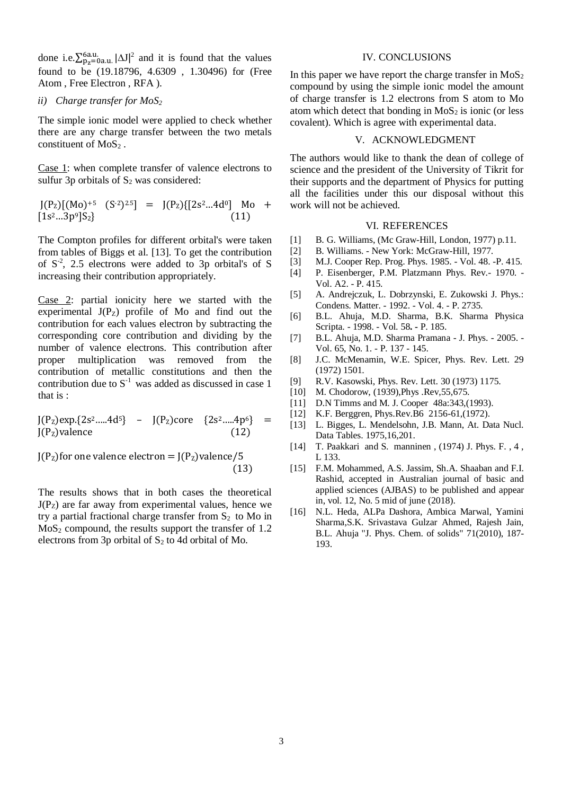done i.e. $\sum_{p_z=0a.u.}^{6a.u.} |\Delta J|^2$  and it is found that the values found to be (19.18796, 4.6309 , 1.30496) for (Free Atom , Free Electron , RFA ).

#### *ii) Charge transfer for MoS<sup>2</sup>*

The simple ionic model were applied to check whether there are any charge transfer between the two metals constituent of MoS<sub>2</sub>.

Case 1: when complete transfer of valence electrons to sulfur 3p orbitals of  $S_2$  was considered:

$$
J(PZ)[(Mo)+5 (S-2)2.5] = J(PZ)[[2s2...4d0] Mo + [1s2...3p9]S2}
$$
(11)

The Compton profiles for different orbital's were taken from tables of Biggs et al. [13]. To get the contribution of  $S<sup>-2</sup>$ , 2.5 electrons were added to 3p orbital's of S increasing their contribution appropriately.

Case 2: partial ionicity here we started with the experimental  $J(P_Z)$  profile of Mo and find out the contribution for each values electron by subtracting the corresponding core contribution and dividing by the number of valence electrons. This contribution after proper multiplication was removed from the contribution of metallic constitutions and then the contribution due to  $S^{-1}$  was added as discussed in case 1 that is :

$$
J(PZ)exp.{2s2.....4d5} - J(PZ)core {2s2.....4p6} =
$$
  
J(P<sub>Z</sub>)valence (12)

 $J(P_z)$ for one valence electron =  $J(P_z)$ valence/5 (13)

The results shows that in both cases the theoretical  $J(P<sub>Z</sub>)$  are far away from experimental values, hence we try a partial fractional charge transfer from  $S_2$  to Mo in  $MoS<sub>2</sub> compound, the results support the transfer of 1.2$ electrons from 3p orbital of  $S_2$  to 4d orbital of Mo.

#### IV. CONCLUSIONS

In this paper we have report the charge transfer in  $MoS<sub>2</sub>$ compound by using the simple ionic model the amount of charge transfer is 1.2 electrons from S atom to Mo atom which detect that bonding in  $MoS<sub>2</sub>$  is ionic (or less covalent). Which is agree with experimental data.

## V. ACKNOWLEDGMENT

The authors would like to thank the dean of college of science and the president of the University of Tikrit for their supports and the department of Physics for putting all the facilities under this our disposal without this work will not be achieved.

### VI. REFERENCES

- [1] B. G. Williams, (Mc Graw-Hill, London, 1977) p.11.
- [2] B. Williams. New York: McGraw-Hill, 1977.
- [3] M.J. Cooper Rep. Prog. Phys. 1985. Vol. 48. -P. 415.
- [4] P. Eisenberger, P.M. Platzmann Phys. Rev.- 1970. Vol. A2. - P. 415.
- [5] A. Andrejczuk, L. Dobrzynski, E. Zukowski J. Phys.: Condens. Matter. - 1992. - Vol. 4. - P. 2735.
- [6] B.L. Ahuja, M.D. Sharma, B.K. Sharma Physica Scripta. - 1998. - Vol. 58**. -** P. 185.
- [7] B.L. Ahuja, M.D. Sharma Pramana J. Phys. 2005. Vol. 65, No. 1. - P. 137 - 145.
- [8] J.C. McMenamin, W.E. Spicer, Phys. Rev. Lett. 29 (1972) 1501.
- [9] R.V. Kasowski, Phys. Rev. Lett. 30 (1973) 1175.
- [10] M. Chodorow, (1939), Phys .Rev, 55, 675.
- [11] D.N Timms and M. J. Cooper 48a:343,(1993).
- [12] K.F. Berggren, Phys.Rev.B6 2156-61, (1972).
- [13] L. Bigges, L. Mendelsohn, J.B. Mann, At. Data Nucl. Data Tables. 1975,16,201.
- [14] T. Paakkari and S. manninen , (1974) J. Phys. F. , 4 , L 133.
- [15] F.M. Mohammed, A.S. Jassim, Sh.A. Shaaban and F.I. Rashid, accepted in Australian journal of basic and applied sciences (AJBAS) to be published and appear in, vol. 12, No. 5 mid of june (2018).
- [16] N.L. Heda, ALPa Dashora, Ambica Marwal, Yamini Sharma,S.K. Srivastava Gulzar Ahmed, Rajesh Jain, B.L. Ahuja ''J. Phys. Chem. of solids" 71(2010), 187- 193.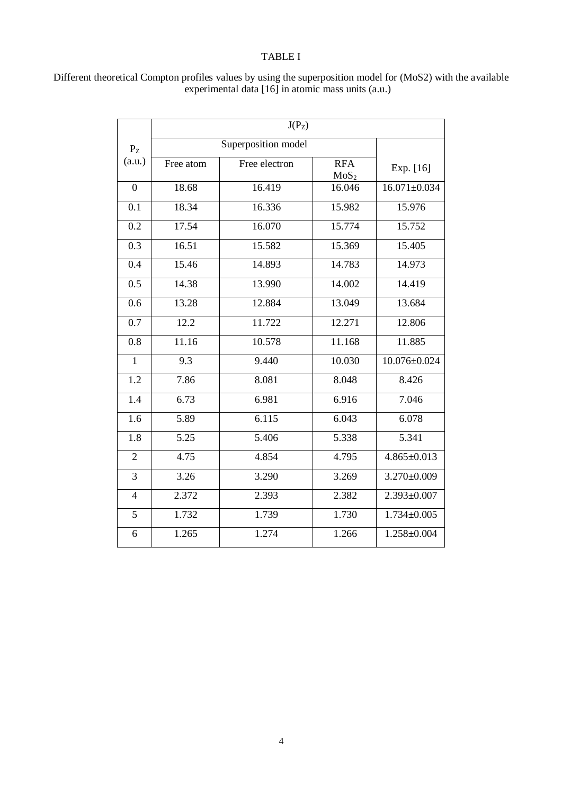## TABLE I

|                | $J(P_Z)$            |               |                                |                    |
|----------------|---------------------|---------------|--------------------------------|--------------------|
| $P_{Z}$        | Superposition model |               |                                |                    |
| (a.u.)         | Free atom           | Free electron | <b>RFA</b><br>MoS <sub>2</sub> | Exp. [16]          |
| $\overline{0}$ | 18.68               | 16.419        | 16.046                         | $16.071 \pm 0.034$ |
| 0.1            | 18.34               | 16.336        | 15.982                         | 15.976             |
| 0.2            | 17.54               | 16.070        | 15.774                         | 15.752             |
| 0.3            | 16.51               | 15.582        | 15.369                         | 15.405             |
| 0.4            | 15.46               | 14.893        | 14.783                         | 14.973             |
| 0.5            | $14.\overline{38}$  | 13.990        | 14.002                         | 14.419             |
| 0.6            | 13.28               | 12.884        | 13.049                         | 13.684             |
| 0.7            | 12.2                | 11.722        | 12.271                         | 12.806             |
| 0.8            | 11.16               | 10.578        | 11.168                         | 11.885             |
| $\mathbf{1}$   | 9.3                 | 9.440         | 10.030                         | $10.076 \pm 0.024$ |
| 1.2            | 7.86                | 8.081         | 8.048                          | 8.426              |
| 1.4            | 6.73                | 6.981         | 6.916                          | 7.046              |
| 1.6            | 5.89                | 6.115         | 6.043                          | 6.078              |
| 1.8            | $\overline{5.25}$   | 5.406         | 5.338                          | 5.341              |
| $\overline{2}$ | 4.75                | 4.854         | 4.795                          | $4.865 \pm 0.013$  |
| 3              | 3.26                | 3.290         | 3.269                          | $3.270 \pm 0.009$  |
| $\overline{4}$ | 2.372               | 2.393         | 2.382                          | $2.393 \pm 0.007$  |
| 5              | 1.732               | 1.739         | 1.730                          | $1.734 \pm 0.005$  |
| 6              | 1.265               | 1.274         | 1.266                          | $1.258 \pm 0.004$  |

Different theoretical Compton profiles values by using the superposition model for (MoS2) with the available experimental data [16] in atomic mass units (a.u.)